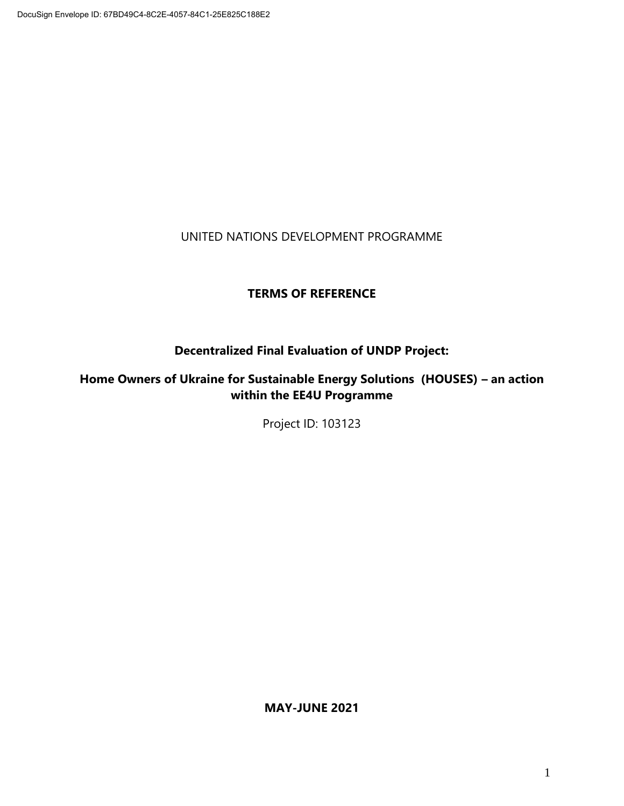## UNITED NATIONS DEVELOPMENT PROGRAMME

#### **TERMS OF REFERENCE**

#### **Decentralized Final Evaluation of UNDP Project:**

#### **Home Owners of Ukraine for Sustainable Energy Solutions (HOUSES) – an action within the EE4U Programme**

Project ID: 103123

**MAY-JUNE 2021**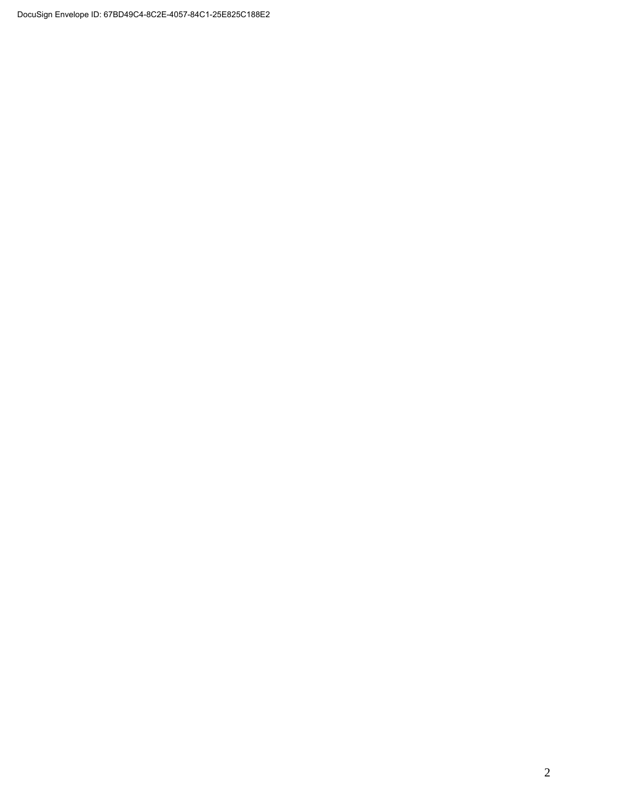DocuSign Envelope ID: 67BD49C4-8C2E-4057-84C1-25E825C188E2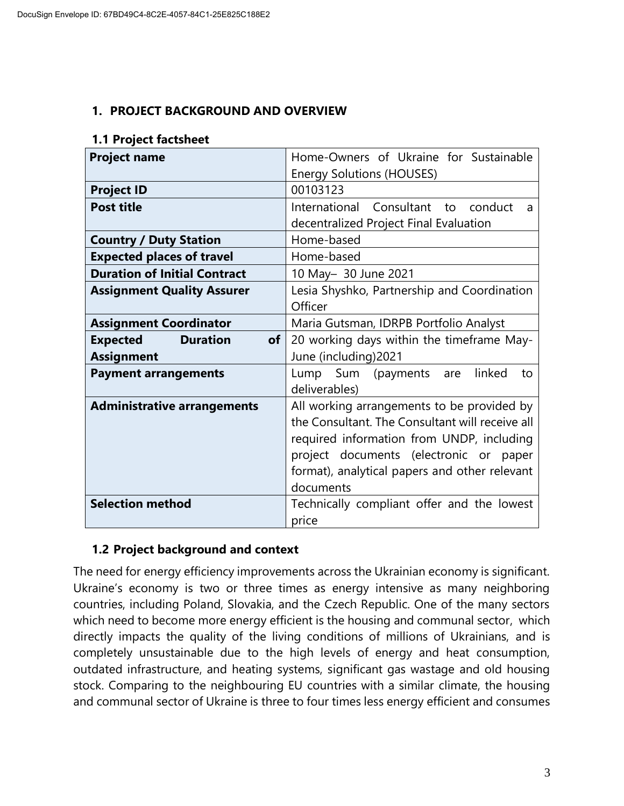#### **1. PROJECT BACKGROUND AND OVERVIEW**

#### **1.1 Project factsheet**

| <b>Project name</b>                      | Home-Owners of Ukraine for Sustainable          |  |
|------------------------------------------|-------------------------------------------------|--|
|                                          | <b>Energy Solutions (HOUSES)</b>                |  |
| <b>Project ID</b>                        | 00103123                                        |  |
| <b>Post title</b>                        | International Consultant to<br>conduct<br>a     |  |
|                                          | decentralized Project Final Evaluation          |  |
| <b>Country / Duty Station</b>            | Home-based                                      |  |
| <b>Expected places of travel</b>         | Home-based                                      |  |
| <b>Duration of Initial Contract</b>      | 10 May - 30 June 2021                           |  |
| <b>Assignment Quality Assurer</b>        | Lesia Shyshko, Partnership and Coordination     |  |
|                                          | Officer                                         |  |
| <b>Assignment Coordinator</b>            | Maria Gutsman, IDRPB Portfolio Analyst          |  |
| <b>Duration</b><br><b>Expected</b><br>of | 20 working days within the timeframe May-       |  |
| <b>Assignment</b>                        | June (including) 2021                           |  |
| <b>Payment arrangements</b>              | Lump Sum (payments are<br>linked<br>to          |  |
|                                          | deliverables)                                   |  |
| <b>Administrative arrangements</b>       | All working arrangements to be provided by      |  |
|                                          | the Consultant. The Consultant will receive all |  |
|                                          | required information from UNDP, including       |  |
|                                          | project documents (electronic or paper          |  |
|                                          | format), analytical papers and other relevant   |  |
|                                          | documents                                       |  |
| <b>Selection method</b>                  | Technically compliant offer and the lowest      |  |
|                                          | price                                           |  |

#### **1.2 Project background and context**

The need for energy efficiency improvements across the Ukrainian economy is significant. Ukraine's economy is two or three times as energy intensive as many neighboring countries, including Poland, Slovakia, and the Czech Republic. One of the many sectors which need to become more energy efficient is the housing and communal sector, which directly impacts the quality of the living conditions of millions of Ukrainians, and is completely unsustainable due to the high levels of energy and heat consumption, outdated infrastructure, and heating systems, significant gas wastage and old housing stock. Comparing to the neighbouring EU countries with a similar climate, the housing and communal sector of Ukraine is three to four times less energy efficient and consumes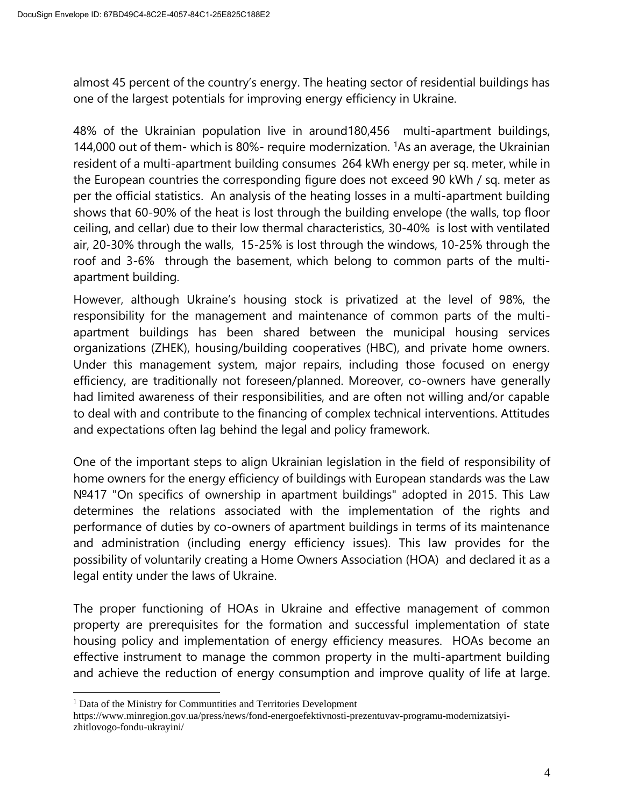almost 45 percent of the country's energy. The heating sector of residential buildings has one of the largest potentials for improving energy efficiency in Ukraine.

48% of the Ukrainian population live in around180,456 multi-apartment buildings, 144,000 out of them- which is 80%- require modernization. <sup>1</sup>As an average, the Ukrainian resident of a multi-apartment building consumes 264 kWh energy per sq. meter, while in the European countries the corresponding figure does not exceed 90 kWh / sq. meter as per the official statistics. An analysis of the heating losses in a multi-apartment building shows that 60-90% of the heat is lost through the building envelope (the walls, top floor ceiling, and cellar) due to their low thermal characteristics, 30-40% is lost with ventilated air, 20-30% through the walls, 15-25% is lost through the windows, 10-25% through the roof and 3-6% through the basement, which belong to common parts of the multiapartment building.

However, although Ukraine's housing stock is privatized at the level of 98%, the responsibility for the management and maintenance of common parts of the multiapartment buildings has been shared between the municipal housing services organizations (ZHEK), housing/building cooperatives (HBC), and private home owners. Under this management system, major repairs, including those focused on energy efficiency, are traditionally not foreseen/planned. Moreover, co-owners have generally had limited awareness of their responsibilities, and are often not willing and/or capable to deal with and contribute to the financing of complex technical interventions. Attitudes and expectations often lag behind the legal and policy framework.

One of the important steps to align Ukrainian legislation in the field of responsibility of home owners for the energy efficiency of buildings with European standards was the Law Nº417 "On specifics of ownership in apartment buildings" adopted in 2015. This Law determines the relations associated with the implementation of the rights and performance of duties by co-owners of apartment buildings in terms of its maintenance and administration (including energy efficiency issues). This law provides for the possibility of voluntarily creating a Home Owners Association (HOA) and declared it as a legal entity under the laws of Ukraine.

The proper functioning of HOAs in Ukraine and effective management of common property are prerequisites for the formation and successful implementation of state housing policy and implementation of energy efficiency measures. HOAs become an effective instrument to manage the common property in the multi-apartment building and achieve the reduction of energy consumption and improve quality of life at large.

<sup>&</sup>lt;sup>1</sup> Data of the Ministry for Communtities and Territories Development

https://www.minregion.gov.ua/press/news/fond-energoefektivnosti-prezentuvav-programu-modernizatsiyizhitlovogo-fondu-ukrayini/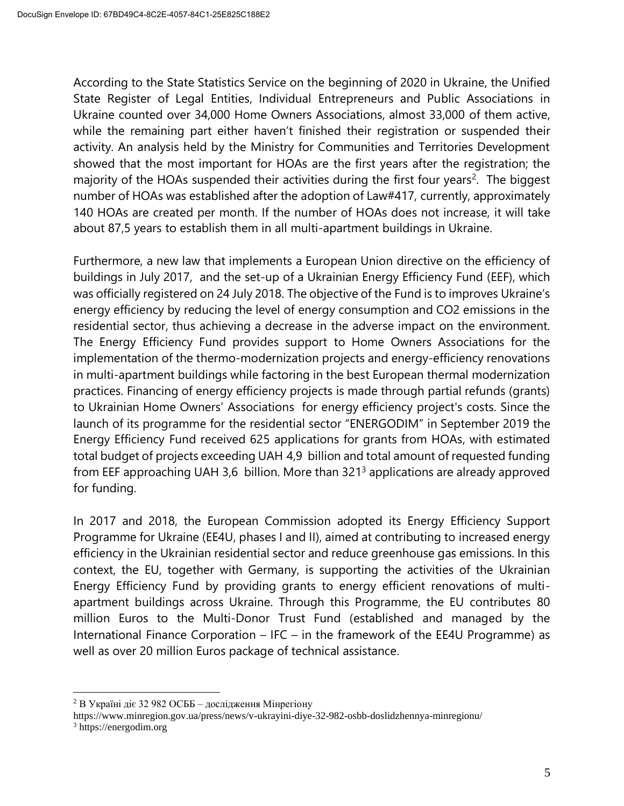According to the State Statistics Service on the beginning of 2020 in Ukraine, the Unified State Register of Legal Entities, Individual Entrepreneurs and Public Associations in Ukraine counted over 34,000 Home Owners Associations, almost 33,000 of them active, while the remaining part either haven't finished their registration or suspended their activity. An analysis held by the Ministry for Communities and Territories Development showed that the most important for HOAs are the first years after the registration; the majority of the HOAs suspended their activities during the first four years<sup>2</sup>. The biggest number of HOAs was established after the adoption of Law#417, currently, approximately 140 HOAs are created per month. If the number of HOAs does not increase, it will take about 87,5 years to establish them in all multi-apartment buildings in Ukraine.

Furthermore, a new law that implements a European Union directive on the efficiency of buildings in July 2017, and the set-up of a Ukrainian Energy Efficiency Fund (EEF), which was officially registered on 24 July 2018. The objective of the Fund is to improves Ukraine's energy efficiency by reducing the level of energy consumption and СО2 emissions in the residential sector, thus achieving a decrease in the adverse impact on the environment. The Energy Efficiency Fund provides support to Home Owners Associations for the implementation of the thermo-modernization projects and energy-efficiency renovations in multi-apartment buildings while factoring in the best European thermal modernization practices. Financing of energy efficiency projects is made through partial refunds (grants) to Ukrainian Home Owners' Associations for energy efficiency project's costs. Since the launch of its programme for the residential sector "ENERGODIM" in September 2019 the Energy Efficiency Fund received 625 applications for grants from HOAs, with estimated total budget of projects exceeding UAH 4,9 billion and total amount of requested funding from EEF approaching UAH 3,6 billion. More than 321<sup>3</sup> applications are already approved for funding.

In 2017 and 2018, the European Commission adopted its Energy Efficiency Support Programme for Ukraine (EE4U, phases I and II), aimed at contributing to increased energy efficiency in the Ukrainian residential sector and reduce greenhouse gas emissions. In this context, the EU, together with Germany, is supporting the activities of the Ukrainian Energy Efficiency Fund by providing grants to energy efficient renovations of multiapartment buildings across Ukraine. Through this Programme, the EU contributes 80 million Euros to the Multi-Donor Trust Fund (established and managed by the International Finance Corporation – IFC – in the framework of the EE4U Programme) as well as over 20 million Euros package of technical assistance.

<sup>2</sup> В Україні діє 32 982 ОСББ – дослідження Мінрегіону

https://www.minregion.gov.ua/press/news/v-ukrayini-diye-32-982-osbb-doslidzhennya-minregionu/

<sup>3</sup> https://energodim.org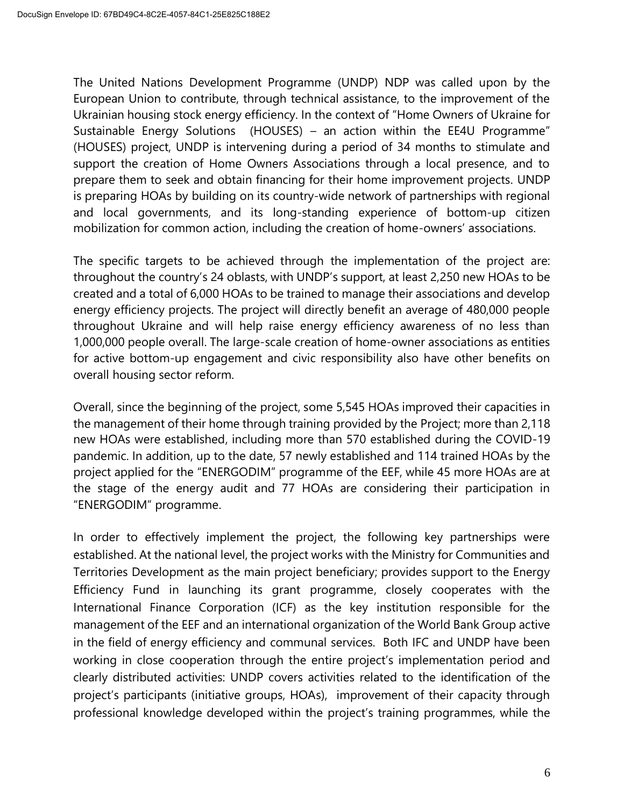The United Nations Development Programme (UNDP) NDP was called upon by the European Union to contribute, through technical assistance, to the improvement of the Ukrainian housing stock energy efficiency. In the context of "Home Owners of Ukraine for Sustainable Energy Solutions (HOUSES) – an action within the EE4U Programme" (HOUSES) project, UNDP is intervening during a period of 34 months to stimulate and support the creation of Home Owners Associations through a local presence, and to prepare them to seek and obtain financing for their home improvement projects. UNDP is preparing HOAs by building on its country-wide network of partnerships with regional and local governments, and its long-standing experience of bottom-up citizen mobilization for common action, including the creation of home-owners' associations.

The specific targets to be achieved through the implementation of the project are: throughout the country's 24 oblasts, with UNDP's support, at least 2,250 new HOAs to be created and a total of 6,000 HOAs to be trained to manage their associations and develop energy efficiency projects. The project will directly benefit an average of 480,000 people throughout Ukraine and will help raise energy efficiency awareness of no less than 1,000,000 people overall. The large-scale creation of home-owner associations as entities for active bottom-up engagement and civic responsibility also have other benefits on overall housing sector reform.

Overall, since the beginning of the project, some 5,545 HOAs improved their capacities in the management of their home through training provided by the Project; more than 2,118 new HOAs were established, including more than 570 established during the COVID-19 pandemic. In addition, up to the date, 57 newly established and 114 trained HOAs by the project applied for the "ENERGODIM" programme of the EEF, while 45 more HOAs are at the stage of the energy audit and 77 HOAs are considering their participation in "ENERGODIM" programme.

In order to effectively implement the project, the following key partnerships were established. At the national level, the project works with the Ministry for Communities and Territories Development as the main project beneficiary; provides support to the Energy Efficiency Fund in launching its grant programme, closely cooperates with the International Finance Corporation (ICF) as the key institution responsible for the management of the EEF and an international organization of the World Bank Group active in the field of energy efficiency and communal services. Both IFC and UNDP have been working in close cooperation through the entire project's implementation period and clearly distributed activities: UNDP covers activities related to the identification of the project's participants (initiative groups, HOAs), improvement of their capacity through professional knowledge developed within the project's training programmes, while the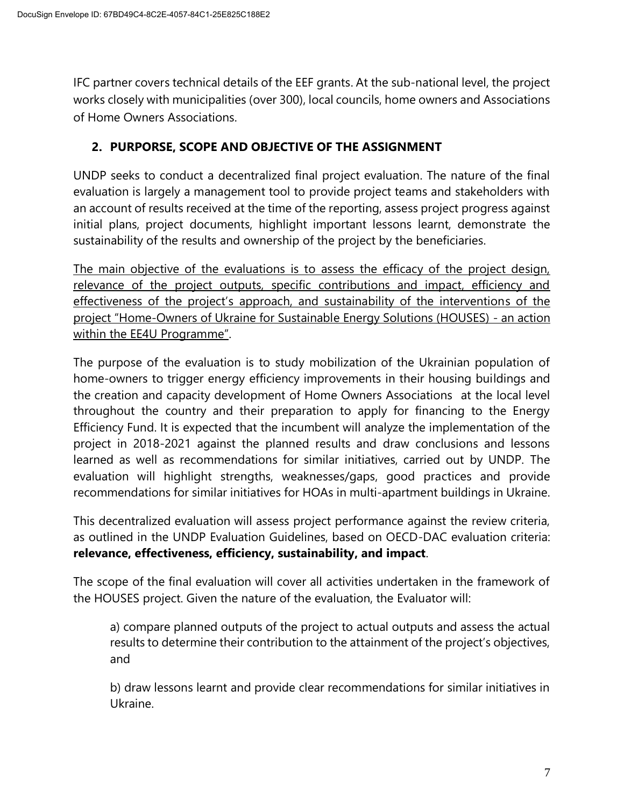IFC partner covers technical details of the EEF grants. At the sub-national level, the project works closely with municipalities (over 300), local councils, home owners and Associations of Home Owners Associations.

#### **2. PURPORSE, SCOPE AND OBJECTIVE OF THE ASSIGNMENT**

UNDP seeks to conduct a decentralized final project evaluation. The nature of the final evaluation is largely a management tool to provide project teams and stakeholders with an account of results received at the time of the reporting, assess project progress against initial plans, project documents, highlight important lessons learnt, demonstrate the sustainability of the results and ownership of the project by the beneficiaries.

The main objective of the evaluations is to assess the efficacy of the project design, relevance of the project outputs, specific contributions and impact, efficiency and effectiveness of the project's approach, and sustainability of the interventions of the project "Home-Owners of Ukraine for Sustainable Energy Solutions (HOUSES) - an action within the EE4U Programme".

The purpose of the evaluation is to study mobilization of the Ukrainian population of home-owners to trigger energy efficiency improvements in their housing buildings and the creation and capacity development of Home Owners Associations at the local level throughout the country and their preparation to apply for financing to the Energy Efficiency Fund. It is expected that the incumbent will analyze the implementation of the project in 2018-2021 against the planned results and draw conclusions and lessons learned as well as recommendations for similar initiatives, carried out by UNDP. The evaluation will highlight strengths, weaknesses/gaps, good practices and provide recommendations for similar initiatives for HOAs in multi-apartment buildings in Ukraine.

This decentralized evaluation will assess project performance against the review criteria, as outlined in the UNDP Evaluation Guidelines, based on OECD-DAC evaluation criteria: **relevance, effectiveness, efficiency, sustainability, and impact**.

The scope of the final evaluation will cover all activities undertaken in the framework of the HOUSES project. Given the nature of the evaluation, the Evaluator will:

a) compare planned outputs of the project to actual outputs and assess the actual results to determine their contribution to the attainment of the project's objectives, and

b) draw lessons learnt and provide clear recommendations for similar initiatives in Ukraine.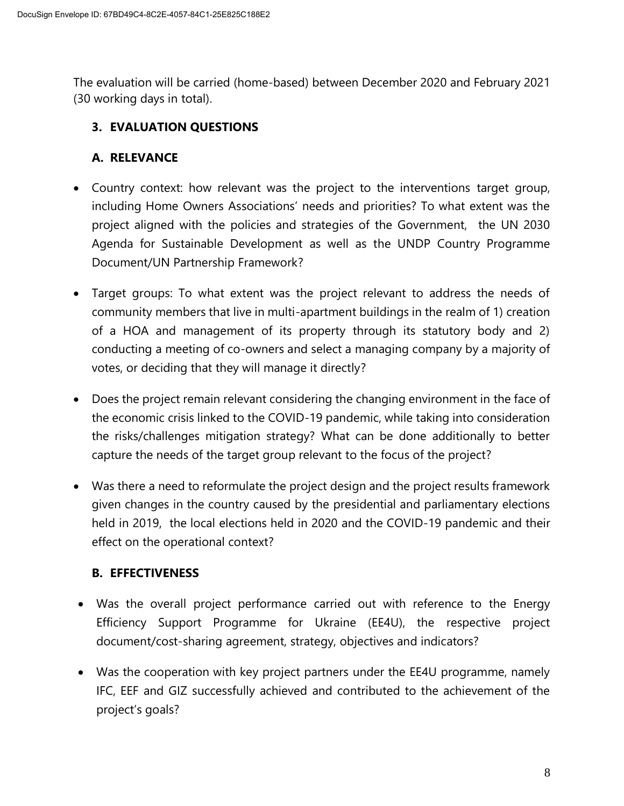The evaluation will be carried (home-based) between December 2020 and February 2021 (30 working days in total).

#### **3. EVALUATION QUESTIONS**

#### **A. RELEVANCE**

- Country context: how relevant was the project to the interventions target group, including Home Owners Associations' needs and priorities? To what extent was the project aligned with the policies and strategies of the Government, the UN 2030 Agenda for Sustainable Development as well as the UNDP Country Programme Document/UN Partnership Framework?
- Target groups: To what extent was the project relevant to address the needs of community members that live in multi-apartment buildings in the realm of 1) creation of a HOA and management of its property through its statutory body and 2) conducting a meeting of co-owners and select a managing company by a majority of votes, or deciding that they will manage it directly?
- Does the project remain relevant considering the changing environment in the face of the economic crisis linked to the COVID-19 pandemic, while taking into consideration the risks/challenges mitigation strategy? What can be done additionally to better capture the needs of the target group relevant to the focus of the project?
- Was there a need to reformulate the project design and the project results framework given changes in the country caused by the presidential and parliamentary elections held in 2019, the local elections held in 2020 and the COVID-19 pandemic and their effect on the operational context?

#### **B. EFFECTIVENESS**

- Was the overall project performance carried out with reference to the Energy Efficiency Support Programme for Ukraine (EE4U), the respective project document/cost-sharing agreement, strategy, objectives and indicators?
- Was the cooperation with key project partners under the EE4U programme, namely IFC, EEF and GIZ successfully achieved and contributed to the achievement of the project's goals?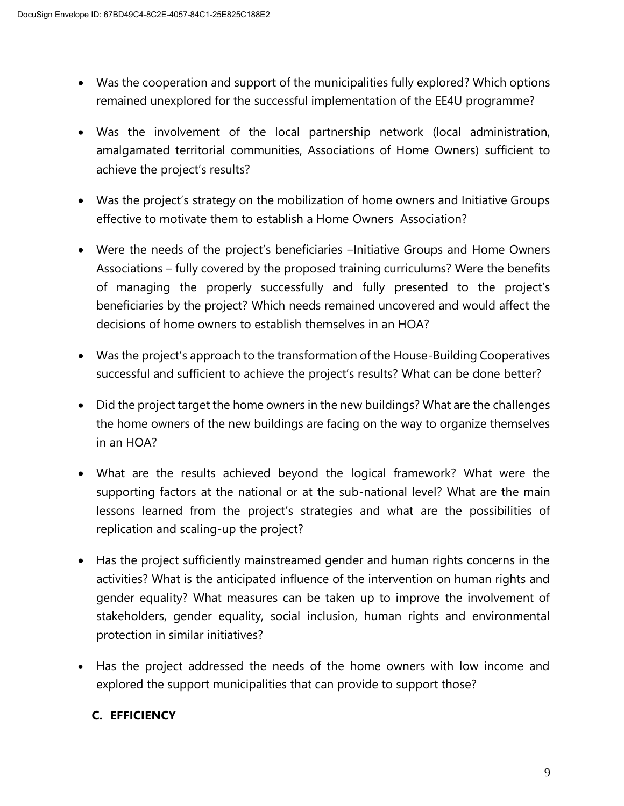- Was the cooperation and support of the municipalities fully explored? Which options remained unexplored for the successful implementation of the EE4U programme?
- Was the involvement of the local partnership network (local administration, amalgamated territorial communities, Associations of Home Owners) sufficient to achieve the project's results?
- Was the project's strategy on the mobilization of home owners and Initiative Groups effective to motivate them to establish a Home Owners Association?
- Were the needs of the project's beneficiaries –Initiative Groups and Home Owners Associations – fully covered by the proposed training curriculums? Were the benefits of managing the properly successfully and fully presented to the project's beneficiaries by the project? Which needs remained uncovered and would affect the decisions of home owners to establish themselves in an HOA?
- Was the project's approach to the transformation of the House-Building Cooperatives successful and sufficient to achieve the project's results? What can be done better?
- Did the project target the home owners in the new buildings? What are the challenges the home owners of the new buildings are facing on the way to organize themselves in an HOA?
- What are the results achieved beyond the logical framework? What were the supporting factors at the national or at the sub-national level? What are the main lessons learned from the project's strategies and what are the possibilities of replication and scaling-up the project?
- Has the project sufficiently mainstreamed gender and human rights concerns in the activities? What is the anticipated influence of the intervention on human rights and gender equality? What measures can be taken up to improve the involvement of stakeholders, gender equality, social inclusion, human rights and environmental protection in similar initiatives?
- Has the project addressed the needs of the home owners with low income and explored the support municipalities that can provide to support those?

## **C. EFFICIENCY**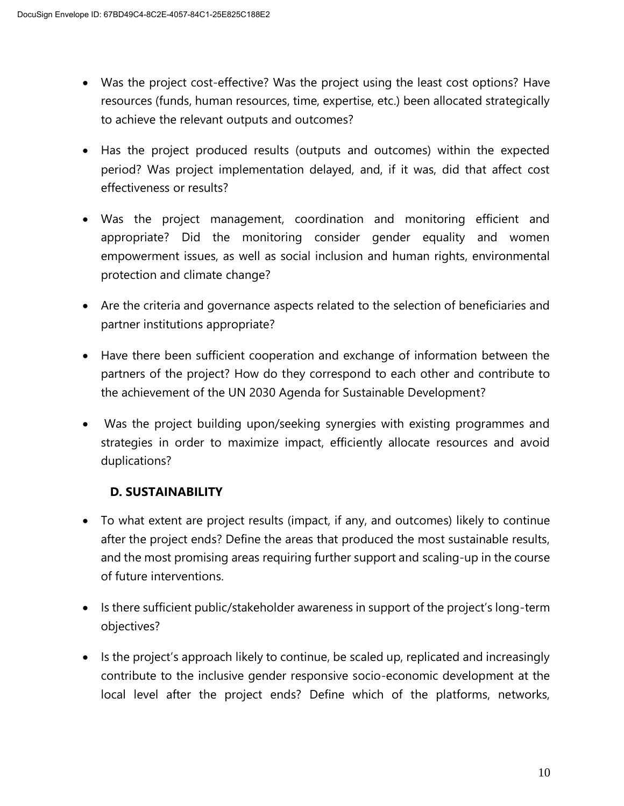- Was the project cost-effective? Was the project using the least cost options? Have resources (funds, human resources, time, expertise, etc.) been allocated strategically to achieve the relevant outputs and outcomes?
- Has the project produced results (outputs and outcomes) within the expected period? Was project implementation delayed, and, if it was, did that affect cost effectiveness or results?
- Was the project management, coordination and monitoring efficient and appropriate? Did the monitoring consider gender equality and women empowerment issues, as well as social inclusion and human rights, environmental protection and climate change?
- Are the criteria and governance aspects related to the selection of beneficiaries and partner institutions appropriate?
- Have there been sufficient cooperation and exchange of information between the partners of the project? How do they correspond to each other and contribute to the achievement of the UN 2030 Agenda for Sustainable Development?
- Was the project building upon/seeking synergies with existing programmes and strategies in order to maximize impact, efficiently allocate resources and avoid duplications?

#### **D. SUSTAINABILITY**

- To what extent are project results (impact, if any, and outcomes) likely to continue after the project ends? Define the areas that produced the most sustainable results, and the most promising areas requiring further support and scaling-up in the course of future interventions.
- Is there sufficient public/stakeholder awareness in support of the project's long-term objectives?
- Is the project's approach likely to continue, be scaled up, replicated and increasingly contribute to the inclusive gender responsive socio-economic development at the local level after the project ends? Define which of the platforms, networks,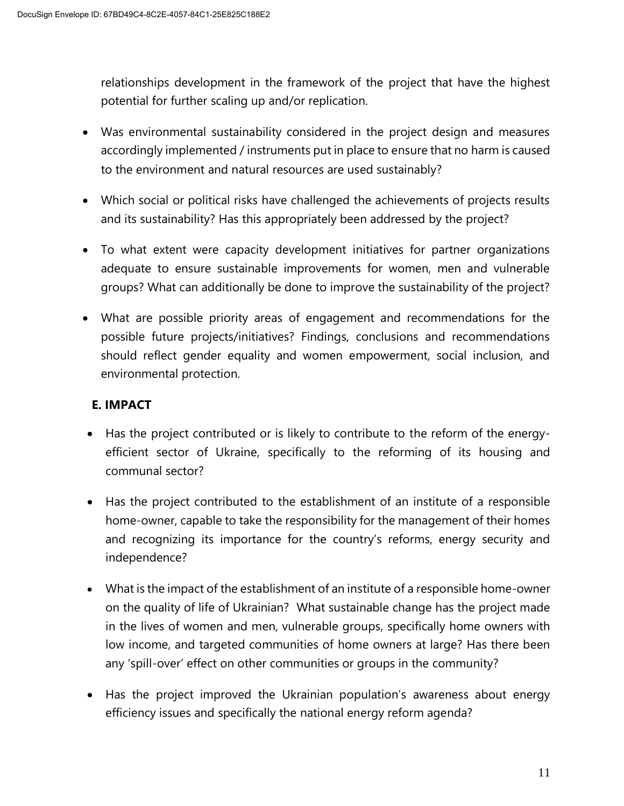relationships development in the framework of the project that have the highest potential for further scaling up and/or replication.

- Was environmental sustainability considered in the project design and measures accordingly implemented / instruments put in place to ensure that no harm is caused to the environment and natural resources are used sustainably?
- Which social or political risks have challenged the achievements of projects results and its sustainability? Has this appropriately been addressed by the project?
- To what extent were capacity development initiatives for partner organizations adequate to ensure sustainable improvements for women, men and vulnerable groups? What can additionally be done to improve the sustainability of the project?
- What are possible priority areas of engagement and recommendations for the possible future projects/initiatives? Findings, conclusions and recommendations should reflect gender equality and women empowerment, social inclusion, and environmental protection.

### **E. IMPACT**

- Has the project contributed or is likely to contribute to the reform of the energyefficient sector of Ukraine, specifically to the reforming of its housing and communal sector?
- Has the project contributed to the establishment of an institute of a responsible home-owner, capable to take the responsibility for the management of their homes and recognizing its importance for the country's reforms, energy security and independence?
- What is the impact of the establishment of an institute of a responsible home-owner on the quality of life of Ukrainian? What sustainable change has the project made in the lives of women and men, vulnerable groups, specifically home owners with low income, and targeted communities of home owners at large? Has there been any 'spill-over' effect on other communities or groups in the community?
- Has the project improved the Ukrainian population's awareness about energy efficiency issues and specifically the national energy reform agenda?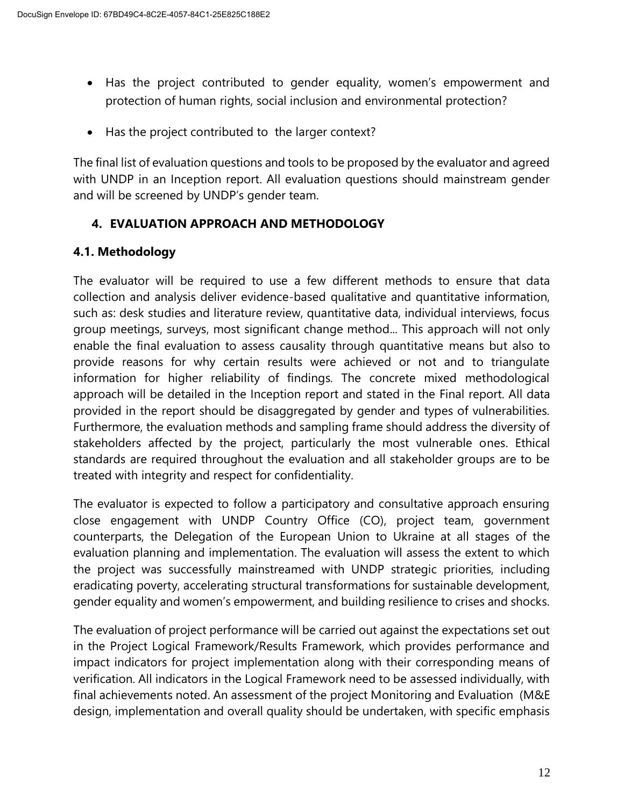- Has the project contributed to gender equality, women's empowerment and protection of human rights, social inclusion and environmental protection?
- Has the project contributed to the larger context?

The final list of evaluation questions and tools to be proposed by the evaluator and agreed with UNDP in an Inception report. All evaluation questions should mainstream gender and will be screened by UNDP's gender team.

## **4. EVALUATION APPROACH AND METHODOLOGY**

#### **4.1. Methodology**

The evaluator will be required to use a few different methods to ensure that data collection and analysis deliver evidence-based qualitative and quantitative information, such as: desk studies and literature review, quantitative data, individual interviews, focus group meetings, surveys, most significant change method... This approach will not only enable the final evaluation to assess causality through quantitative means but also to provide reasons for why certain results were achieved or not and to triangulate information for higher reliability of findings. The concrete mixed methodological approach will be detailed in the Inception report and stated in the Final report. All data provided in the report should be disaggregated by gender and types of vulnerabilities. Furthermore, the evaluation methods and sampling frame should address the diversity of stakeholders affected by the project, particularly the most vulnerable ones. Ethical standards are required throughout the evaluation and all stakeholder groups are to be treated with integrity and respect for confidentiality.

The evaluator is expected to follow a participatory and consultative approach ensuring close engagement with UNDP Country Office (CO), project team, government counterparts, the Delegation of the European Union to Ukraine at all stages of the evaluation planning and implementation. The evaluation will assess the extent to which the project was successfully mainstreamed with UNDP strategic priorities, including eradicating poverty, accelerating structural transformations for sustainable development, gender equality and women's empowerment, and building resilience to crises and shocks.

The evaluation of project performance will be carried out against the expectations set out in the Project Logical Framework/Results Framework, which provides performance and impact indicators for project implementation along with their corresponding means of verification. All indicators in the Logical Framework need to be assessed individually, with final achievements noted. An assessment of the project Monitoring and Evaluation (M&E design, implementation and overall quality should be undertaken, with specific emphasis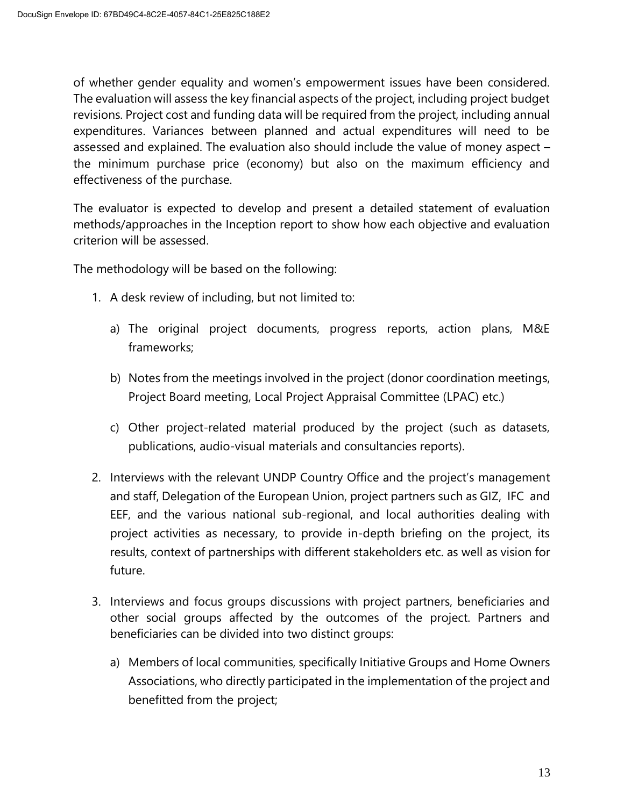of whether gender equality and women's empowerment issues have been considered. The evaluation will assess the key financial aspects of the project, including project budget revisions. Project cost and funding data will be required from the project, including annual expenditures. Variances between planned and actual expenditures will need to be assessed and explained. The evaluation also should include the value of money aspect – the minimum purchase price (economy) but also on the maximum efficiency and effectiveness of the purchase.

The evaluator is expected to develop and present a detailed statement of evaluation methods/approaches in the Inception report to show how each objective and evaluation criterion will be assessed.

The methodology will be based on the following:

- 1. A desk review of including, but not limited to:
	- a) The original project documents, progress reports, action plans, M&E frameworks;
	- b) Notes from the meetings involved in the project (donor coordination meetings, Project Board meeting, Local Project Appraisal Committee (LPAC) etc.)
	- c) Other project-related material produced by the project (such as datasets, publications, audio-visual materials and consultancies reports).
- 2. Interviews with the relevant UNDP Country Office and the project's management and staff, Delegation of the European Union, project partners such as GIZ, IFC and EEF, and the various national sub-regional, and local authorities dealing with project activities as necessary, to provide in-depth briefing on the project, its results, context of partnerships with different stakeholders etc. as well as vision for future.
- 3. Interviews and focus groups discussions with project partners, beneficiaries and other social groups affected by the outcomes of the project. Partners and beneficiaries can be divided into two distinct groups:
	- a) Members of local communities, specifically Initiative Groups and Home Owners Associations, who directly participated in the implementation of the project and benefitted from the project;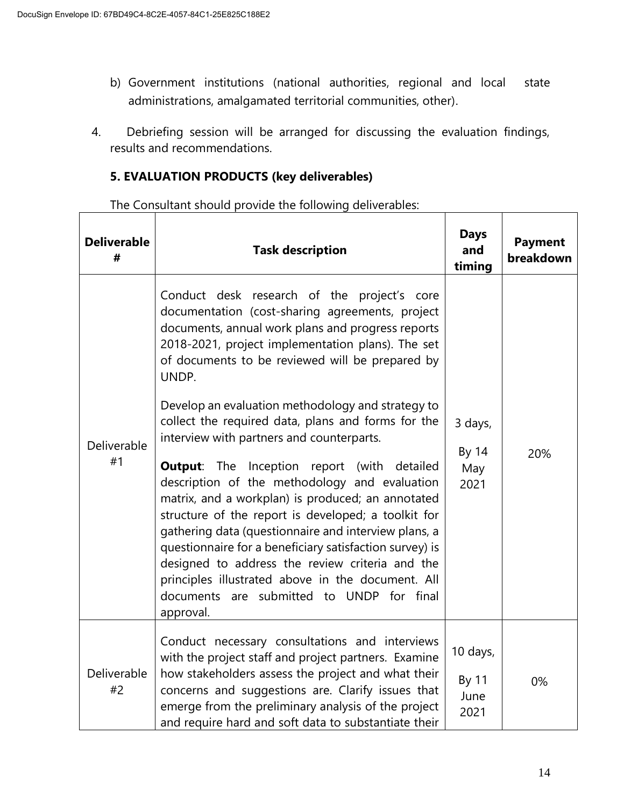- b) Government institutions (national authorities, regional and local state administrations, amalgamated territorial communities, other).
- 4. Debriefing session will be arranged for discussing the evaluation findings, results and recommendations.

#### **5. EVALUATION PRODUCTS (key deliverables)**

The Consultant should provide the following deliverables:

| <b>Deliverable</b><br># | <b>Task description</b>                                                                                                                                                                                                                                                                                                                                                                                                                                                                                                                                                                                                                                                                                                                                                                                                                                                                                                              | <b>Days</b><br>and<br>timing      | <b>Payment</b><br>breakdown |
|-------------------------|--------------------------------------------------------------------------------------------------------------------------------------------------------------------------------------------------------------------------------------------------------------------------------------------------------------------------------------------------------------------------------------------------------------------------------------------------------------------------------------------------------------------------------------------------------------------------------------------------------------------------------------------------------------------------------------------------------------------------------------------------------------------------------------------------------------------------------------------------------------------------------------------------------------------------------------|-----------------------------------|-----------------------------|
| Deliverable<br>#1       | Conduct desk research of the project's core<br>documentation (cost-sharing agreements, project<br>documents, annual work plans and progress reports<br>2018-2021, project implementation plans). The set<br>of documents to be reviewed will be prepared by<br>UNDP.<br>Develop an evaluation methodology and strategy to<br>collect the required data, plans and forms for the<br>interview with partners and counterparts.<br><b>Output:</b> The Inception report (with detailed<br>description of the methodology and evaluation<br>matrix, and a workplan) is produced; an annotated<br>structure of the report is developed; a toolkit for<br>gathering data (questionnaire and interview plans, a<br>questionnaire for a beneficiary satisfaction survey) is<br>designed to address the review criteria and the<br>principles illustrated above in the document. All<br>documents are submitted to UNDP for final<br>approval. | 3 days,<br>By 14<br>May<br>2021   | 20%                         |
| Deliverable<br>#2       | Conduct necessary consultations and interviews<br>with the project staff and project partners. Examine<br>how stakeholders assess the project and what their<br>concerns and suggestions are. Clarify issues that<br>emerge from the preliminary analysis of the project<br>and require hard and soft data to substantiate their                                                                                                                                                                                                                                                                                                                                                                                                                                                                                                                                                                                                     | 10 days,<br>By 11<br>June<br>2021 | 0%                          |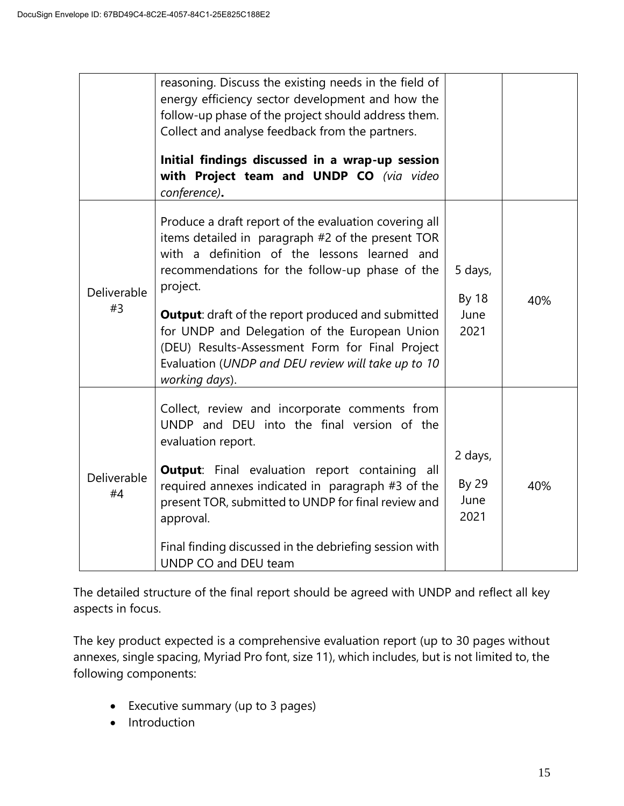|                   | reasoning. Discuss the existing needs in the field of<br>energy efficiency sector development and how the<br>follow-up phase of the project should address them.<br>Collect and analyse feedback from the partners.<br>Initial findings discussed in a wrap-up session<br>with Project team and UNDP CO (via video<br>conference).                                                                                                                                |                                         |     |
|-------------------|-------------------------------------------------------------------------------------------------------------------------------------------------------------------------------------------------------------------------------------------------------------------------------------------------------------------------------------------------------------------------------------------------------------------------------------------------------------------|-----------------------------------------|-----|
| Deliverable<br>#3 | Produce a draft report of the evaluation covering all<br>items detailed in paragraph #2 of the present TOR<br>with a definition of the lessons learned and<br>recommendations for the follow-up phase of the<br>project.<br><b>Output:</b> draft of the report produced and submitted<br>for UNDP and Delegation of the European Union<br>(DEU) Results-Assessment Form for Final Project<br>Evaluation (UNDP and DEU review will take up to 10<br>working days). | 5 days,<br><b>By 18</b><br>June<br>2021 | 40% |
| Deliverable<br>#4 | Collect, review and incorporate comments from<br>UNDP and DEU into the final version of the<br>evaluation report.<br><b>Output:</b> Final evaluation report containing all<br>required annexes indicated in paragraph #3 of the<br>present TOR, submitted to UNDP for final review and<br>approval.<br>Final finding discussed in the debriefing session with<br>UNDP CO and DEU team                                                                             | 2 days,<br>By 29<br>June<br>2021        | 40% |

The detailed structure of the final report should be agreed with UNDP and reflect all key aspects in focus.

The key product expected is a comprehensive evaluation report (up to 30 pages without annexes, single spacing, Myriad Pro font, size 11), which includes, but is not limited to, the following components:

- Executive summary (up to 3 pages)
- Introduction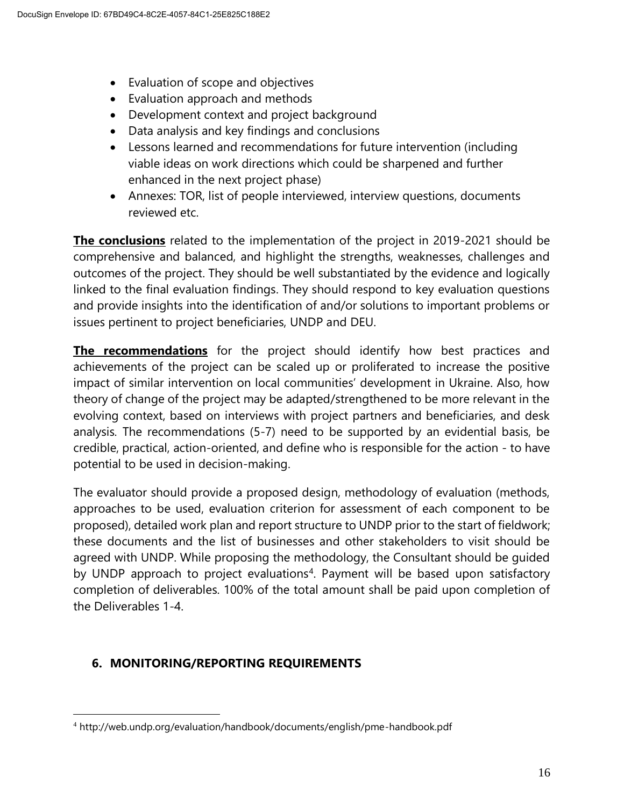- Evaluation of scope and objectives
- Evaluation approach and methods
- Development context and project background
- Data analysis and key findings and conclusions
- Lessons learned and recommendations for future intervention (including viable ideas on work directions which could be sharpened and further enhanced in the next project phase)
- Annexes: TOR, list of people interviewed, interview questions, documents reviewed etc.

**The conclusions** related to the implementation of the project in 2019-2021 should be comprehensive and balanced, and highlight the strengths, weaknesses, challenges and outcomes of the project. They should be well substantiated by the evidence and logically linked to the final evaluation findings. They should respond to key evaluation questions and provide insights into the identification of and/or solutions to important problems or issues pertinent to project beneficiaries, UNDP and DEU.

**The recommendations** for the project should identify how best practices and achievements of the project can be scaled up or proliferated to increase the positive impact of similar intervention on local communities' development in Ukraine. Also, how theory of change of the project may be adapted/strengthened to be more relevant in the evolving context, based on interviews with project partners and beneficiaries, and desk analysis*.* The recommendations (5-7) need to be supported by an evidential basis, be credible, practical, action-oriented, and define who is responsible for the action - to have potential to be used in decision-making.

The evaluator should provide a proposed design, methodology of evaluation (methods, approaches to be used, evaluation criterion for assessment of each component to be proposed), detailed work plan and report structure to UNDP prior to the start of fieldwork; these documents and the list of businesses and other stakeholders to visit should be agreed with UNDP. While proposing the methodology, the Consultant should be guided by UNDP approach to project evaluations<sup>4</sup>. Payment will be based upon satisfactory completion of deliverables. 100% of the total amount shall be paid upon completion of the Deliverables 1-4.

## **6. MONITORING/REPORTING REQUIREMENTS**

<sup>4</sup> http://web.undp.org/evaluation/handbook/documents/english/pme-handbook.pdf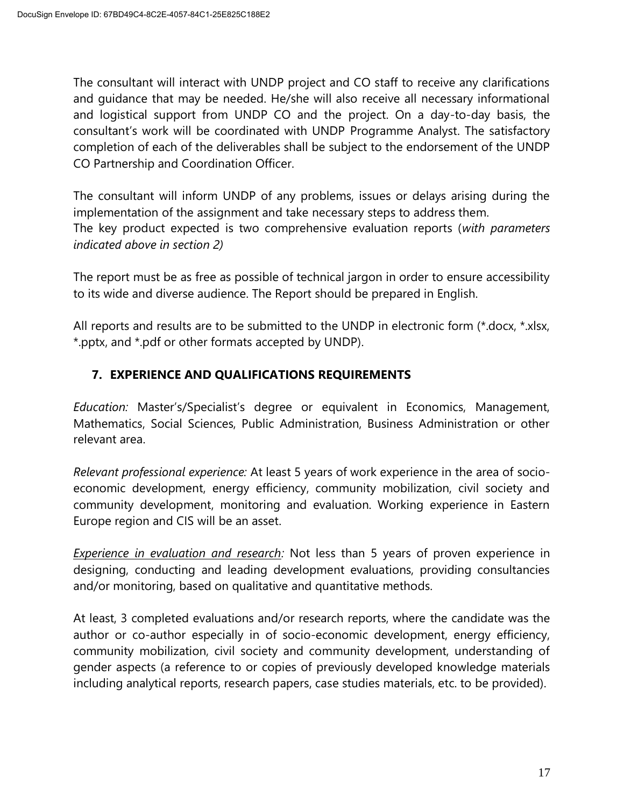The consultant will interact with UNDP project and CO staff to receive any clarifications and guidance that may be needed. He/she will also receive all necessary informational and logistical support from UNDP CO and the project. On a day-to-day basis, the consultant's work will be coordinated with UNDP Programme Analyst. The satisfactory completion of each of the deliverables shall be subject to the endorsement of the UNDP CO Partnership and Coordination Officer.

The consultant will inform UNDP of any problems, issues or delays arising during the implementation of the assignment and take necessary steps to address them. The key product expected is two comprehensive evaluation reports (*with parameters indicated above in section 2)*

The report must be as free as possible of technical jargon in order to ensure accessibility to its wide and diverse audience. The Report should be prepared in English.

All reports and results are to be submitted to the UNDP in electronic form (\*.docx, \*.xlsx, \*.pptx, and \*.pdf or other formats accepted by UNDP).

#### **7. EXPERIENCE AND QUALIFICATIONS REQUIREMENTS**

*Education:* Master's/Specialist's degree or equivalent in Economics, Management, Mathematics, Social Sciences, Public Administration, Business Administration or other relevant area.

*Relevant professional experience:* At least 5 years of work experience in the area of socioeconomic development, energy efficiency, community mobilization, civil society and community development, monitoring and evaluation. Working experience in Eastern Europe region and CIS will be an asset.

*Experience in evaluation and research:* Not less than 5 years of proven experience in designing, conducting and leading development evaluations, providing consultancies and/or monitoring, based on qualitative and quantitative methods.

At least, 3 completed evaluations and/or research reports, where the candidate was the author or co-author especially in of socio-economic development, energy efficiency, community mobilization, civil society and community development, understanding of gender aspects (a reference to or copies of previously developed knowledge materials including analytical reports, research papers, case studies materials, etc. to be provided).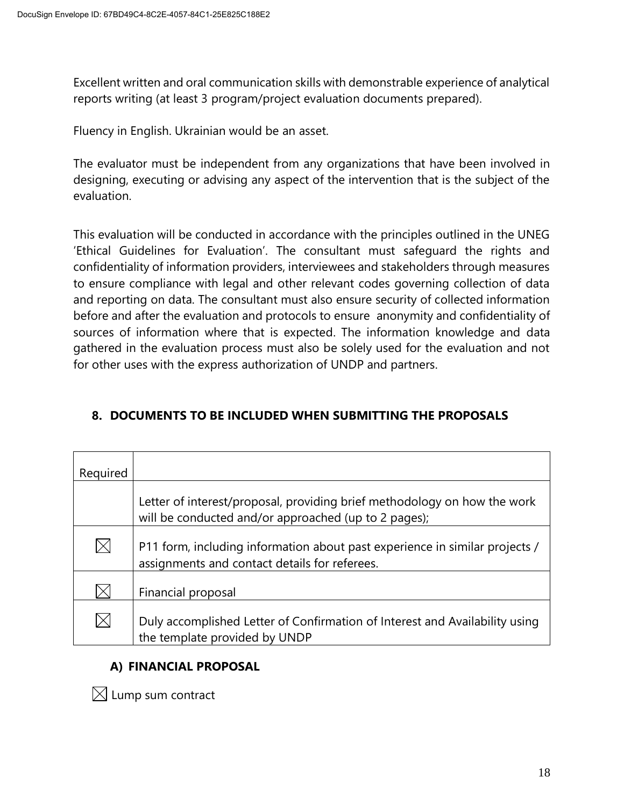Excellent written and oral communication skills with demonstrable experience of analytical reports writing (at least 3 program/project evaluation documents prepared).

Fluency in English. Ukrainian would be an asset.

The evaluator must be independent from any organizations that have been involved in designing, executing or advising any aspect of the intervention that is the subject of the evaluation.

This evaluation will be conducted in accordance with the principles outlined in the UNEG 'Ethical Guidelines for Evaluation'. The consultant must safeguard the rights and confidentiality of information providers, interviewees and stakeholders through measures to ensure compliance with legal and other relevant codes governing collection of data and reporting on data. The consultant must also ensure security of collected information before and after the evaluation and protocols to ensure anonymity and confidentiality of sources of information where that is expected. The information knowledge and data gathered in the evaluation process must also be solely used for the evaluation and not for other uses with the express authorization of UNDP and partners.

| 8. DOCUMENTS TO BE INCLUDED WHEN SUBMITTING THE PROPOSALS |
|-----------------------------------------------------------|
|                                                           |

| Required |                                                                                                                                  |
|----------|----------------------------------------------------------------------------------------------------------------------------------|
|          | Letter of interest/proposal, providing brief methodology on how the work<br>will be conducted and/or approached (up to 2 pages); |
| $\times$ | P11 form, including information about past experience in similar projects /<br>assignments and contact details for referees.     |
|          | Financial proposal                                                                                                               |
|          | Duly accomplished Letter of Confirmation of Interest and Availability using<br>the template provided by UNDP                     |

## **A) FINANCIAL PROPOSAL**

 $\boxtimes$  Lump sum contract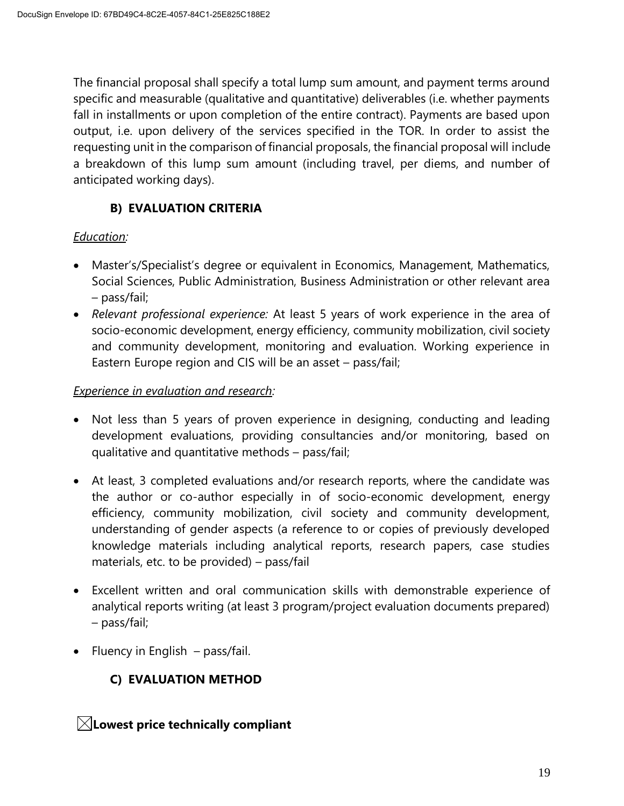The financial proposal shall specify a total lump sum amount, and payment terms around specific and measurable (qualitative and quantitative) deliverables (i.e. whether payments fall in installments or upon completion of the entire contract). Payments are based upon output, i.e. upon delivery of the services specified in the TOR. In order to assist the requesting unit in the comparison of financial proposals, the financial proposal will include a breakdown of this lump sum amount (including travel, per diems, and number of anticipated working days).

## **B) EVALUATION CRITERIA**

#### *Education:*

- Master's/Specialist's degree or equivalent in Economics, Management, Mathematics, Social Sciences, Public Administration, Business Administration or other relevant area – pass/fail;
- *Relevant professional experience:* At least 5 years of work experience in the area of socio-economic development, energy efficiency, community mobilization, civil society and community development, monitoring and evaluation. Working experience in Eastern Europe region and CIS will be an asset – pass/fail;

#### *Experience in evaluation and research:*

- Not less than 5 years of proven experience in designing, conducting and leading development evaluations, providing consultancies and/or monitoring, based on qualitative and quantitative methods – pass/fail;
- At least, 3 completed evaluations and/or research reports, where the candidate was the author or co-author especially in of socio-economic development, energy efficiency, community mobilization, civil society and community development, understanding of gender aspects (a reference to or copies of previously developed knowledge materials including analytical reports, research papers, case studies materials, etc. to be provided) – pass/fail
- Excellent written and oral communication skills with demonstrable experience of analytical reports writing (at least 3 program/project evaluation documents prepared) – pass/fail;
- Fluency in English pass/fail.

## **C) EVALUATION METHOD**

## **Lowest price technically compliant**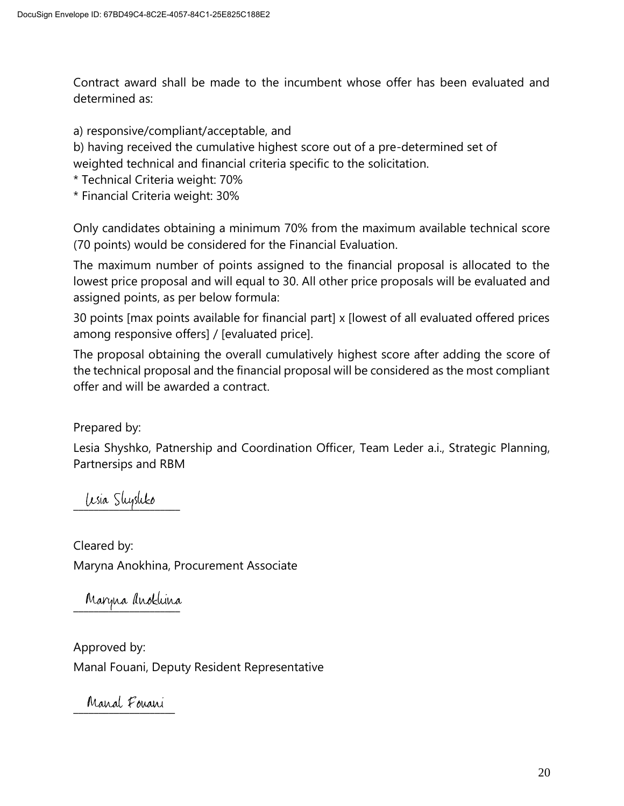Contract award shall be made to the incumbent whose offer has been evaluated and determined as:

a) responsive/compliant/acceptable, and

b) having received the cumulative highest score out of a pre-determined set of weighted technical and financial criteria specific to the solicitation.

\* Technical Criteria weight: 70%

\* Financial Criteria weight: 30%

Only candidates obtaining a minimum 70% from the maximum available technical score (70 points) would be considered for the Financial Evaluation.

The maximum number of points assigned to the financial proposal is allocated to the lowest price proposal and will equal to 30. All other price proposals will be evaluated and assigned points, as per below formula:

30 points [max points available for financial part] x [lowest of all evaluated offered prices among responsive offers] / [evaluated price].

The proposal obtaining the overall cumulatively highest score after adding the score of the technical proposal and the financial proposal will be considered as the most compliant offer and will be awarded a contract.

Prepared by:

Lesia Shyshko, Patnership and Coordination Officer, Team Leder a.i., Strategic Planning, Partnersips and RBM

Lesia Slupsliko

Cleared by: Maryna Anokhina, Procurement Associate

Maryna Anokhina

Approved by: Manal Fouani, Deputy Resident Representative

Manal Fouani